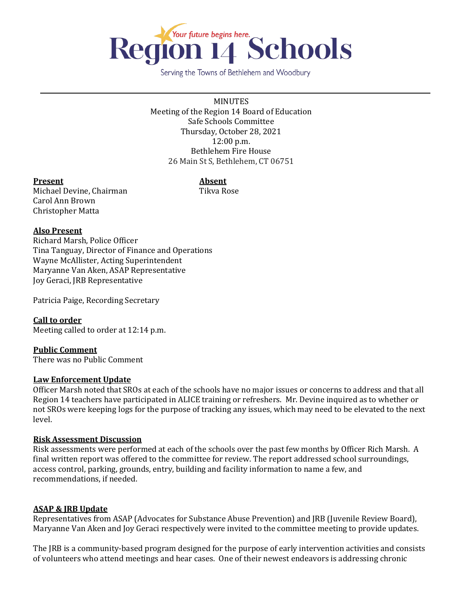

Serving the Towns of Bethlehem and Woodbury

MINUTES Meeting of the Region 14 Board of Education Safe Schools Committee Thursday, October 28, 2021 12:00 p.m. Bethlehem Fire House 26 Main St S, Bethlehem, CT 06751

#### **Present Absent**

Michael Devine, Chairman Tikva Rose Carol Ann Brown Christopher Matta

## **Also Present**

Richard Marsh, Police Officer Tina Tanguay, Director of Finance and Operations Wayne McAllister, Acting Superintendent Maryanne Van Aken, ASAP Representative Joy Geraci, JRB Representative

Patricia Paige, Recording Secretary

**Call to order** Meeting called to order at 12:14 p.m.

**Public Comment** There was no Public Comment

# **Law Enforcement Update**

Officer Marsh noted that SROs at each of the schools have no major issues or concerns to address and that all Region 14 teachers have participated in ALICE training or refreshers. Mr. Devine inquired as to whether or not SROs were keeping logs for the purpose of tracking any issues, which may need to be elevated to the next level.

#### **Risk Assessment Discussion**

Risk assessments were performed at each of the schools over the past few months by Officer Rich Marsh. A final written report was offered to the committee for review. The report addressed school surroundings, access control, parking, grounds, entry, building and facility information to name a few, and recommendations, if needed.

#### **ASAP & JRB Update**

Representatives from ASAP (Advocates for Substance Abuse Prevention) and JRB (Juvenile Review Board), Maryanne Van Aken and Joy Geraci respectively were invited to the committee meeting to provide updates.

The JRB is a community-based program designed for the purpose of early intervention activities and consists of volunteers who attend meetings and hear cases. One of their newest endeavors is addressing chronic